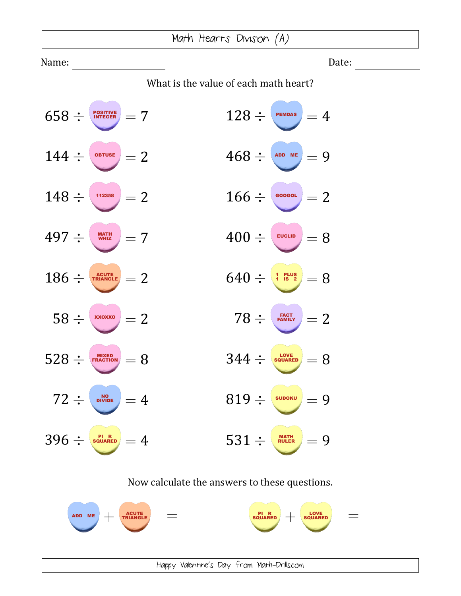Name: Date:

What is the value of each math heart?



## Now calculate the answers to these questions.